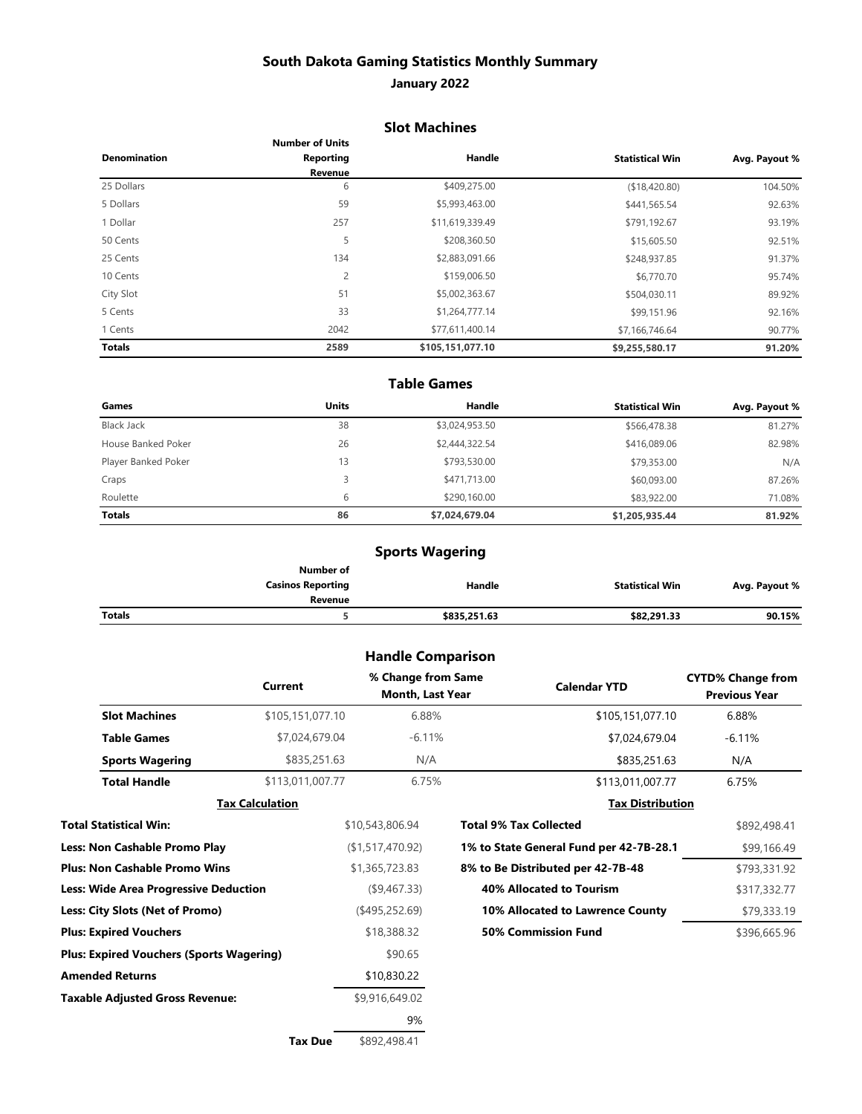## **South Dakota Gaming Statistics Monthly Summary**

### **January 2022**

### **Slot Machines**

|                     | <b>Number of Units</b> |                  |                        |               |
|---------------------|------------------------|------------------|------------------------|---------------|
| <b>Denomination</b> | Reporting              | Handle           | <b>Statistical Win</b> | Avg. Payout % |
|                     | Revenue                |                  |                        |               |
| 25 Dollars          | 6                      | \$409,275.00     | (\$18,420.80)          | 104.50%       |
| 5 Dollars           | 59                     | \$5,993,463.00   | \$441,565.54           | 92.63%        |
| 1 Dollar            | 257                    | \$11,619,339.49  | \$791,192.67           | 93.19%        |
| 50 Cents            | 5                      | \$208,360.50     | \$15,605.50            | 92.51%        |
| 25 Cents            | 134                    | \$2,883,091.66   | \$248,937.85           | 91.37%        |
| 10 Cents            | $\overline{c}$         | \$159,006.50     | \$6,770.70             | 95.74%        |
| City Slot           | 51                     | \$5,002,363.67   | \$504,030.11           | 89.92%        |
| 5 Cents             | 33                     | \$1,264,777.14   | \$99,151.96            | 92.16%        |
| 1 Cents             | 2042                   | \$77,611,400.14  | \$7,166,746.64         | 90.77%        |
| <b>Totals</b>       | 2589                   | \$105,151,077.10 | \$9,255,580.17         | 91.20%        |

#### **Table Games**

| Games               | <b>Units</b> | Handle         | <b>Statistical Win</b> | Avg. Payout % |
|---------------------|--------------|----------------|------------------------|---------------|
| <b>Black Jack</b>   | 38           | \$3,024,953.50 | \$566,478.38           | 81.27%        |
| House Banked Poker  | 26           | \$2,444,322.54 | \$416,089.06           | 82.98%        |
| Player Banked Poker | 13           | \$793,530.00   | \$79,353.00            | N/A           |
| Craps               | 3            | \$471,713.00   | \$60,093.00            | 87.26%        |
| Roulette            | 6            | \$290,160,00   | \$83,922.00            | 71.08%        |
| <b>Totals</b>       | 86           | \$7,024,679.04 | \$1,205,935.44         | 81.92%        |

## **Sports Wagering**

|               | Number of                |              |                 |               |
|---------------|--------------------------|--------------|-----------------|---------------|
|               | <b>Casinos Reporting</b> | Handle       | Statistical Win | Avg. Payout % |
|               | Revenue                  |              |                 |               |
| <b>Totals</b> |                          | \$835,251.63 | \$82,291.33     | 90.15%        |

## **Handle Comparison**

| \$105,151,077.10<br>6.88%<br><b>Slot Machines</b><br>\$105,151,077.10<br>6.88%<br>\$7,024,679.04<br>$-6.11%$<br><b>Table Games</b><br>\$7,024,679.04<br>$-6.11%$<br>\$835,251.63<br>N/A<br><b>Sports Wagering</b><br>\$835,251.63<br>N/A<br>\$113,011,007.77<br>6.75%<br><b>Total Handle</b><br>\$113,011,007.77<br>6.75%<br><b>Tax Distribution</b><br><b>Tax Calculation</b><br>Total Statistical Win:<br><b>Total 9% Tax Collected</b><br>\$10,543,806.94<br><b>Less: Non Cashable Promo Play</b><br>(\$1,517,470.92)<br>1% to State General Fund per 42-7B-28.1<br><b>Plus: Non Cashable Promo Wins</b><br>\$1,365,723.83<br>8% to Be Distributed per 42-7B-48<br><b>40% Allocated to Tourism</b><br>Less: Wide Area Progressive Deduction<br>$($ \$9,467.33)<br>Less: City Slots (Net of Promo)<br>$($ \$495,252.69)<br>10% Allocated to Lawrence County |                               | Current<br>Month, Last Year |                            | <b>Previous Year</b> |
|---------------------------------------------------------------------------------------------------------------------------------------------------------------------------------------------------------------------------------------------------------------------------------------------------------------------------------------------------------------------------------------------------------------------------------------------------------------------------------------------------------------------------------------------------------------------------------------------------------------------------------------------------------------------------------------------------------------------------------------------------------------------------------------------------------------------------------------------------------------|-------------------------------|-----------------------------|----------------------------|----------------------|
|                                                                                                                                                                                                                                                                                                                                                                                                                                                                                                                                                                                                                                                                                                                                                                                                                                                               |                               |                             |                            |                      |
|                                                                                                                                                                                                                                                                                                                                                                                                                                                                                                                                                                                                                                                                                                                                                                                                                                                               |                               |                             |                            |                      |
|                                                                                                                                                                                                                                                                                                                                                                                                                                                                                                                                                                                                                                                                                                                                                                                                                                                               |                               |                             |                            |                      |
|                                                                                                                                                                                                                                                                                                                                                                                                                                                                                                                                                                                                                                                                                                                                                                                                                                                               |                               |                             |                            |                      |
|                                                                                                                                                                                                                                                                                                                                                                                                                                                                                                                                                                                                                                                                                                                                                                                                                                                               |                               |                             |                            |                      |
|                                                                                                                                                                                                                                                                                                                                                                                                                                                                                                                                                                                                                                                                                                                                                                                                                                                               |                               |                             |                            | \$892,498.41         |
|                                                                                                                                                                                                                                                                                                                                                                                                                                                                                                                                                                                                                                                                                                                                                                                                                                                               |                               |                             |                            | \$99,166.49          |
|                                                                                                                                                                                                                                                                                                                                                                                                                                                                                                                                                                                                                                                                                                                                                                                                                                                               |                               |                             |                            | \$793,331.92         |
|                                                                                                                                                                                                                                                                                                                                                                                                                                                                                                                                                                                                                                                                                                                                                                                                                                                               |                               |                             |                            | \$317,332.77         |
|                                                                                                                                                                                                                                                                                                                                                                                                                                                                                                                                                                                                                                                                                                                                                                                                                                                               |                               |                             |                            | \$79,333.19          |
|                                                                                                                                                                                                                                                                                                                                                                                                                                                                                                                                                                                                                                                                                                                                                                                                                                                               | <b>Plus: Expired Vouchers</b> | \$18,388.32                 | <b>50% Commission Fund</b> | \$396,665.96         |
| <b>Plus: Expired Vouchers (Sports Wagering)</b><br>\$90.65                                                                                                                                                                                                                                                                                                                                                                                                                                                                                                                                                                                                                                                                                                                                                                                                    |                               |                             |                            |                      |
| <b>Amended Returns</b><br>\$10,830.22                                                                                                                                                                                                                                                                                                                                                                                                                                                                                                                                                                                                                                                                                                                                                                                                                         |                               |                             |                            |                      |
| <b>Taxable Adjusted Gross Revenue:</b><br>\$9,916,649.02                                                                                                                                                                                                                                                                                                                                                                                                                                                                                                                                                                                                                                                                                                                                                                                                      |                               |                             |                            |                      |
| 9%                                                                                                                                                                                                                                                                                                                                                                                                                                                                                                                                                                                                                                                                                                                                                                                                                                                            |                               |                             |                            |                      |

**Tax Due** \$892,498.41